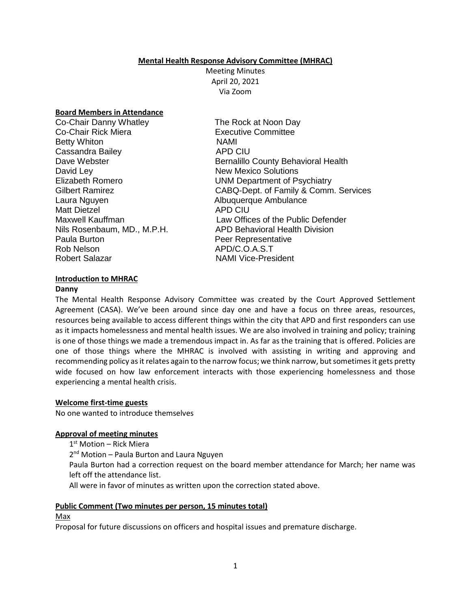#### **Mental Health Response Advisory Committee (MHRAC)**

Meeting Minutes April 20, 2021 Via Zoom

#### **Board Members in Attendance**

| Co-Chair Danny Whatley      | The R        |
|-----------------------------|--------------|
| Co-Chair Rick Miera         | Execu        |
| <b>Betty Whiton</b>         | NAMI         |
| Cassandra Bailey            | APD (        |
| Dave Webster                | <b>Berna</b> |
| David Ley                   | New M        |
| <b>Elizabeth Romero</b>     | <b>UNM</b>   |
| Gilbert Ramirez             | CABC         |
| Laura Nguyen                | Albuq        |
| <b>Matt Dietzel</b>         | APD (        |
| Maxwell Kauffman            | Law (        |
| Nils Rosenbaum, MD., M.P.H. | APD I        |
| Paula Burton                | Peer I       |
| Rob Nelson                  | APD/         |
| Robert Salazar              | <b>NAMI</b>  |

The Rock at Noon Day **Executive Committee** APD CIU Bernalillo County Behavioral Health **New Mexico Solutions** UNM Department of Psychiatry CABQ-Dept. of Family & Comm. Services Albuquerque Ambulance APD CIU Law Offices of the Public Defender APD Behavioral Health Division Peer Representative APD/C.O.A.S.T NAMI Vice-President

#### **Introduction to MHRAC**

#### **Danny**

The Mental Health Response Advisory Committee was created by the Court Approved Settlement Agreement (CASA). We've been around since day one and have a focus on three areas, resources, resources being available to access different things within the city that APD and first responders can use as it impacts homelessness and mental health issues. We are also involved in training and policy; training is one of those things we made a tremendous impact in. As far as the training that is offered. Policies are one of those things where the MHRAC is involved with assisting in writing and approving and recommending policy as it relates again to the narrow focus; we think narrow, but sometimes it gets pretty wide focused on how law enforcement interacts with those experiencing homelessness and those experiencing a mental health crisis.

#### **Welcome first-time guests**

No one wanted to introduce themselves

### **Approval of meeting minutes**

1 st Motion – Rick Miera

2<sup>nd</sup> Motion - Paula Burton and Laura Nguyen

Paula Burton had a correction request on the board member attendance for March; her name was left off the attendance list.

All were in favor of minutes as written upon the correction stated above.

### **Public Comment (Two minutes per person, 15 minutes total)**

#### Max

Proposal for future discussions on officers and hospital issues and premature discharge.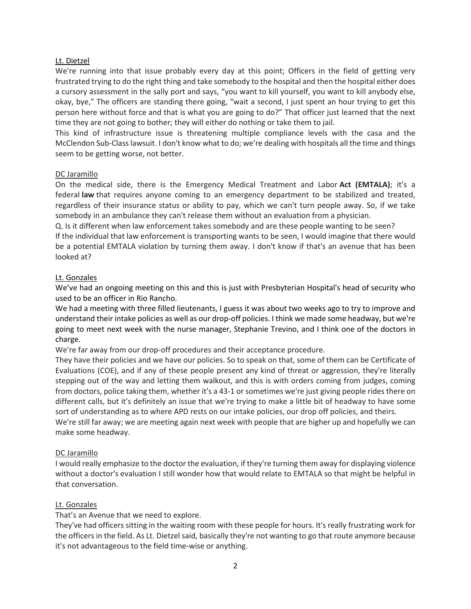### Lt. Dietzel

We're running into that issue probably every day at this point; Officers in the field of getting very frustrated trying to do the right thing and take somebody to the hospital and then the hospital either does a cursory assessment in the sally port and says, "you want to kill yourself, you want to kill anybody else, okay, bye," The officers are standing there going, "wait a second, I just spent an hour trying to get this person here without force and that is what you are going to do?" That officer just learned that the next time they are not going to bother; they will either do nothing or take them to jail.

This kind of infrastructure issue is threatening multiple compliance levels with the casa and the McClendon Sub-Class lawsuit. I don't know what to do; we're dealing with hospitals all the time and things seem to be getting worse, not better.

#### DC Jaramillo

On the medical side, there is the Emergency Medical Treatment and Labor **Act (EMTALA)**; it's a federal **law** that requires anyone coming to an emergency department to be stabilized and treated, regardless of their insurance status or ability to pay, which we can't turn people away. So, if we take somebody in an ambulance they can't release them without an evaluation from a physician.

Q. Is it different when law enforcement takes somebody and are these people wanting to be seen? If the individual that law enforcement is transporting wants to be seen, I would imagine that there would be a potential EMTALA violation by turning them away. I don't know if that's an avenue that has been looked at?

### Lt. Gonzales

We've had an ongoing meeting on this and this is just with Presbyterian Hospital's head of security who used to be an officer in Rio Rancho.

We had a meeting with three filled lieutenants, I guess it was about two weeks ago to try to improve and understand their intake policies as well as our drop-off policies. I think we made some headway, but we're going to meet next week with the nurse manager, Stephanie Trevino, and I think one of the doctors in charge.

We're far away from our drop-off procedures and their acceptance procedure.

They have their policies and we have our policies. So to speak on that, some of them can be Certificate of Evaluations (COE), and if any of these people present any kind of threat or aggression, they're literally stepping out of the way and letting them walkout, and this is with orders coming from judges, coming from doctors, police taking them, whether it's a 43-1 or sometimes we're just giving people rides there on different calls, but it's definitely an issue that we're trying to make a little bit of headway to have some sort of understanding as to where APD rests on our intake policies, our drop off policies, and theirs.

We're still far away; we are meeting again next week with people that are higher up and hopefully we can make some headway.

### DC Jaramillo

I would really emphasize to the doctor the evaluation, if they're turning them away for displaying violence without a doctor's evaluation I still wonder how that would relate to EMTALA so that might be helpful in that conversation.

### Lt. Gonzales

That's an Avenue that we need to explore.

They've had officers sitting in the waiting room with these people for hours. It's really frustrating work for the officers in the field. As Lt. Dietzel said, basically they're not wanting to go that route anymore because it's not advantageous to the field time-wise or anything.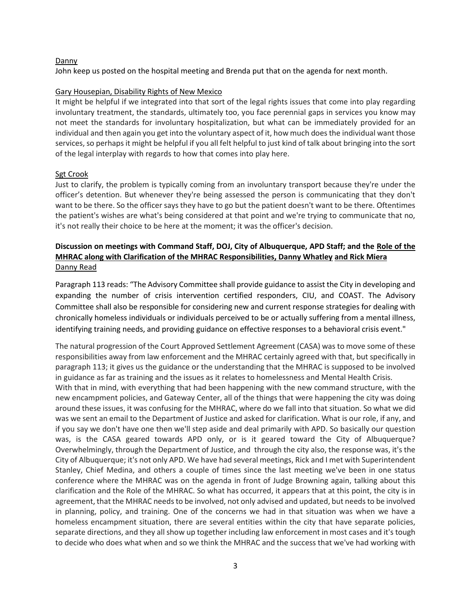#### Danny

John keep us posted on the hospital meeting and Brenda put that on the agenda for next month.

#### Gary Housepian, Disability Rights of New Mexico

It might be helpful if we integrated into that sort of the legal rights issues that come into play regarding involuntary treatment, the standards, ultimately too, you face perennial gaps in services you know may not meet the standards for involuntary hospitalization, but what can be immediately provided for an individual and then again you get into the voluntary aspect of it, how much does the individual want those services, so perhaps it might be helpful if you all felt helpful to just kind of talk about bringing into the sort of the legal interplay with regards to how that comes into play here.

#### Sgt Crook

Just to clarify, the problem is typically coming from an involuntary transport because they're under the officer's detention. But whenever they're being assessed the person is communicating that they don't want to be there. So the officer says they have to go but the patient doesn't want to be there. Oftentimes the patient's wishes are what's being considered at that point and we're trying to communicate that no, it's not really their choice to be here at the moment; it was the officer's decision.

# **Discussion on meetings with Command Staff, DOJ, City of Albuquerque, APD Staff; and the Role of the MHRAC along with Clarification of the MHRAC Responsibilities, Danny Whatley and Rick Miera** Danny Read

Paragraph 113 reads: "The Advisory Committee shall provide guidance to assist the City in developing and expanding the number of crisis intervention certified responders, CIU, and COAST. The Advisory Committee shall also be responsible for considering new and current response strategies for dealing with chronically homeless individuals or individuals perceived to be or actually suffering from a mental illness, identifying training needs, and providing guidance on effective responses to a behavioral crisis event."

The natural progression of the Court Approved Settlement Agreement (CASA) was to move some of these responsibilities away from law enforcement and the MHRAC certainly agreed with that, but specifically in paragraph 113; it gives us the guidance or the understanding that the MHRAC is supposed to be involved in guidance as far as training and the issues as it relates to homelessness and Mental Health Crisis.

With that in mind, with everything that had been happening with the new command structure, with the new encampment policies, and Gateway Center, all of the things that were happening the city was doing around these issues, it was confusing for the MHRAC, where do we fall into that situation. So what we did was we sent an email to the Department of Justice and asked for clarification. What is our role, if any, and if you say we don't have one then we'll step aside and deal primarily with APD. So basically our question was, is the CASA geared towards APD only, or is it geared toward the City of Albuquerque? Overwhelmingly, through the Department of Justice, and through the city also, the response was, it's the City of Albuquerque; it's not only APD. We have had several meetings, Rick and I met with Superintendent Stanley, Chief Medina, and others a couple of times since the last meeting we've been in one status conference where the MHRAC was on the agenda in front of Judge Browning again, talking about this clarification and the Role of the MHRAC. So what has occurred, it appears that at this point, the city is in agreement, that the MHRAC needs to be involved, not only advised and updated, but needs to be involved in planning, policy, and training. One of the concerns we had in that situation was when we have a homeless encampment situation, there are several entities within the city that have separate policies, separate directions, and they all show up together including law enforcement in most cases and it's tough to decide who does what when and so we think the MHRAC and the success that we've had working with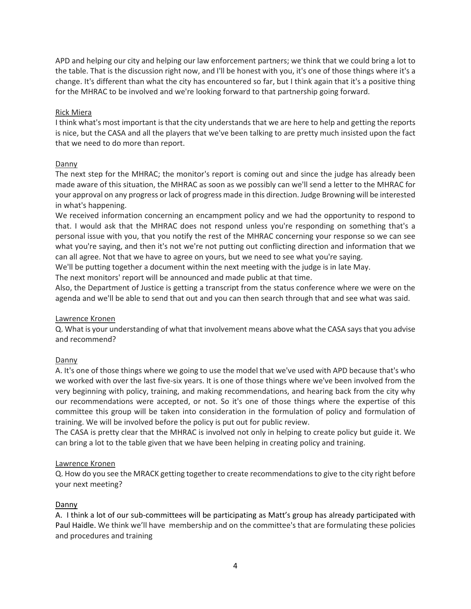APD and helping our city and helping our law enforcement partners; we think that we could bring a lot to the table. That is the discussion right now, and I'll be honest with you, it's one of those things where it's a change. It's different than what the city has encountered so far, but I think again that it's a positive thing for the MHRAC to be involved and we're looking forward to that partnership going forward.

# Rick Miera

I think what's most important is that the city understands that we are here to help and getting the reports is nice, but the CASA and all the players that we've been talking to are pretty much insisted upon the fact that we need to do more than report.

# Danny

The next step for the MHRAC; the monitor's report is coming out and since the judge has already been made aware of this situation, the MHRAC as soon as we possibly can we'll send a letter to the MHRAC for your approval on any progress or lack of progress made in this direction. Judge Browning will be interested in what's happening.

We received information concerning an encampment policy and we had the opportunity to respond to that. I would ask that the MHRAC does not respond unless you're responding on something that's a personal issue with you, that you notify the rest of the MHRAC concerning your response so we can see what you're saying, and then it's not we're not putting out conflicting direction and information that we can all agree. Not that we have to agree on yours, but we need to see what you're saying.

We'll be putting together a document within the next meeting with the judge is in late May.

The next monitors' report will be announced and made public at that time.

Also, the Department of Justice is getting a transcript from the status conference where we were on the agenda and we'll be able to send that out and you can then search through that and see what was said.

# Lawrence Kronen

Q. What is your understanding of what that involvement means above what the CASA says that you advise and recommend?

# Danny

A. It's one of those things where we going to use the model that we've used with APD because that's who we worked with over the last five-six years. It is one of those things where we've been involved from the very beginning with policy, training, and making recommendations, and hearing back from the city why our recommendations were accepted, or not. So it's one of those things where the expertise of this committee this group will be taken into consideration in the formulation of policy and formulation of training. We will be involved before the policy is put out for public review.

The CASA is pretty clear that the MHRAC is involved not only in helping to create policy but guide it. We can bring a lot to the table given that we have been helping in creating policy and training.

### Lawrence Kronen

Q. How do you see the MRACK getting together to create recommendations to give to the city right before your next meeting?

### Danny

A. I think a lot of our sub-committees will be participating as Matt's group has already participated with Paul Haidle. We think we'll have membership and on the committee's that are formulating these policies and procedures and training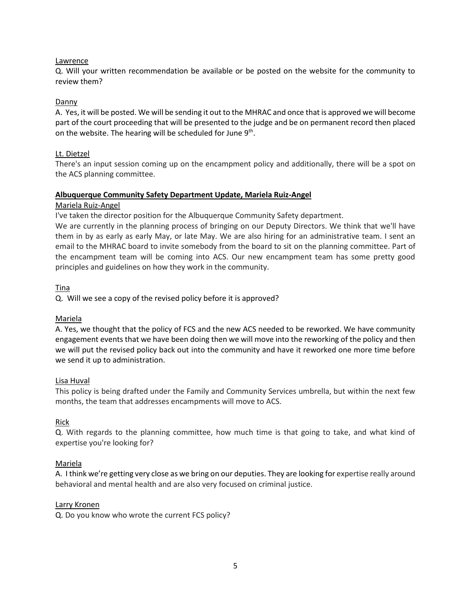### Lawrence

Q. Will your written recommendation be available or be posted on the website for the community to review them?

#### Danny

A. Yes, it will be posted. We will be sending it out to the MHRAC and once that is approved we will become part of the court proceeding that will be presented to the judge and be on permanent record then placed on the website. The hearing will be scheduled for June 9<sup>th</sup>.

#### Lt. Dietzel

There's an input session coming up on the encampment policy and additionally, there will be a spot on the ACS planning committee.

#### **Albuquerque Community Safety Department Update, Mariela Ruiz-Angel**

#### Mariela Ruiz-Angel

I've taken the director position for the Albuquerque Community Safety department.

We are currently in the planning process of bringing on our Deputy Directors. We think that we'll have them in by as early as early May, or late May. We are also hiring for an administrative team. I sent an email to the MHRAC board to invite somebody from the board to sit on the planning committee. Part of the encampment team will be coming into ACS. Our new encampment team has some pretty good principles and guidelines on how they work in the community.

Tina

Q. Will we see a copy of the revised policy before it is approved?

#### Mariela

A. Yes, we thought that the policy of FCS and the new ACS needed to be reworked. We have community engagement events that we have been doing then we will move into the reworking of the policy and then we will put the revised policy back out into the community and have it reworked one more time before we send it up to administration.

### Lisa Huval

This policy is being drafted under the Family and Community Services umbrella, but within the next few months, the team that addresses encampments will move to ACS.

### Rick

Q. With regards to the planning committee, how much time is that going to take, and what kind of expertise you're looking for?

### Mariela

A. I think we're getting very close as we bring on our deputies. They are looking for expertise really around behavioral and mental health and are also very focused on criminal justice.

#### Larry Kronen

Q. Do you know who wrote the current FCS policy?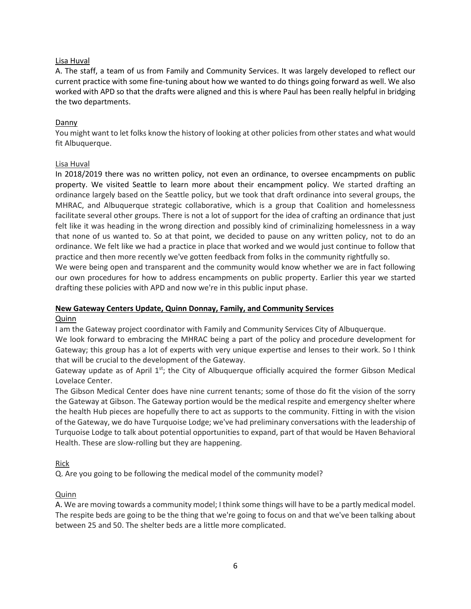# Lisa Huval

A. The staff, a team of us from Family and Community Services. It was largely developed to reflect our current practice with some fine-tuning about how we wanted to do things going forward as well. We also worked with APD so that the drafts were aligned and this is where Paul has been really helpful in bridging the two departments.

# Danny

You might want to let folks know the history of looking at other policies from other states and what would fit Albuquerque.

### Lisa Huval

In 2018/2019 there was no written policy, not even an ordinance, to oversee encampments on public property. We visited Seattle to learn more about their encampment policy. We started drafting an ordinance largely based on the Seattle policy, but we took that draft ordinance into several groups, the MHRAC, and Albuquerque strategic collaborative, which is a group that Coalition and homelessness facilitate several other groups. There is not a lot of support for the idea of crafting an ordinance that just felt like it was heading in the wrong direction and possibly kind of criminalizing homelessness in a way that none of us wanted to. So at that point, we decided to pause on any written policy, not to do an ordinance. We felt like we had a practice in place that worked and we would just continue to follow that practice and then more recently we've gotten feedback from folks in the community rightfully so.

We were being open and transparent and the community would know whether we are in fact following our own procedures for how to address encampments on public property. Earlier this year we started drafting these policies with APD and now we're in this public input phase.

# **New Gateway Centers Update, Quinn Donnay, Family, and Community Services**

### Quinn

I am the Gateway project coordinator with Family and Community Services City of Albuquerque.

We look forward to embracing the MHRAC being a part of the policy and procedure development for Gateway; this group has a lot of experts with very unique expertise and lenses to their work. So I think that will be crucial to the development of the Gateway.

Gateway update as of April  $1<sup>st</sup>$ ; the City of Albuquerque officially acquired the former Gibson Medical Lovelace Center.

The Gibson Medical Center does have nine current tenants; some of those do fit the vision of the sorry the Gateway at Gibson. The Gateway portion would be the medical respite and emergency shelter where the health Hub pieces are hopefully there to act as supports to the community. Fitting in with the vision of the Gateway, we do have Turquoise Lodge; we've had preliminary conversations with the leadership of Turquoise Lodge to talk about potential opportunities to expand, part of that would be Haven Behavioral Health. These are slow-rolling but they are happening.

### Rick

Q. Are you going to be following the medical model of the community model?

### **Quinn**

A. We are moving towards a community model; I think some things will have to be a partly medical model. The respite beds are going to be the thing that we're going to focus on and that we've been talking about between 25 and 50. The shelter beds are a little more complicated.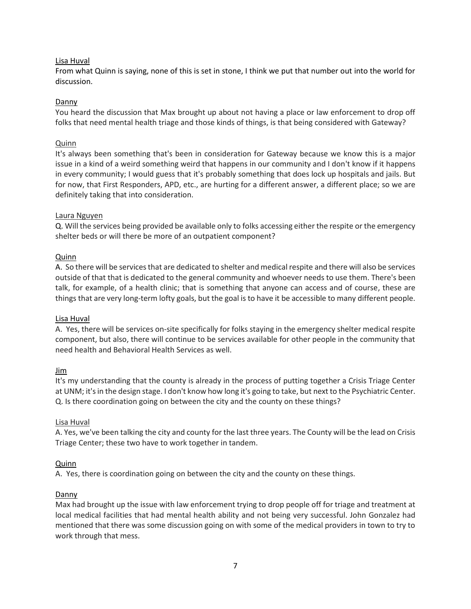# Lisa Huval

From what Quinn is saying, none of this is set in stone, I think we put that number out into the world for discussion.

# Danny

You heard the discussion that Max brought up about not having a place or law enforcement to drop off folks that need mental health triage and those kinds of things, is that being considered with Gateway?

### Quinn

It's always been something that's been in consideration for Gateway because we know this is a major issue in a kind of a weird something weird that happens in our community and I don't know if it happens in every community; I would guess that it's probably something that does lock up hospitals and jails. But for now, that First Responders, APD, etc., are hurting for a different answer, a different place; so we are definitely taking that into consideration.

# Laura Nguyen

Q. Will the services being provided be available only to folks accessing either the respite or the emergency shelter beds or will there be more of an outpatient component?

### Quinn

A. So there will be services that are dedicated to shelter and medical respite and there will also be services outside of that that is dedicated to the general community and whoever needs to use them. There's been talk, for example, of a health clinic; that is something that anyone can access and of course, these are things that are very long-term lofty goals, but the goal is to have it be accessible to many different people.

### Lisa Huval

A. Yes, there will be services on-site specifically for folks staying in the emergency shelter medical respite component, but also, there will continue to be services available for other people in the community that need health and Behavioral Health Services as well.

### Jim

It's my understanding that the county is already in the process of putting together a Crisis Triage Center at UNM; it's in the design stage. I don't know how long it's going to take, but next to the Psychiatric Center. Q. Is there coordination going on between the city and the county on these things?

### Lisa Huval

A. Yes, we've been talking the city and county for the last three years. The County will be the lead on Crisis Triage Center; these two have to work together in tandem.

# Quinn

A. Yes, there is coordination going on between the city and the county on these things.

### Danny

Max had brought up the issue with law enforcement trying to drop people off for triage and treatment at local medical facilities that had mental health ability and not being very successful. John Gonzalez had mentioned that there was some discussion going on with some of the medical providers in town to try to work through that mess.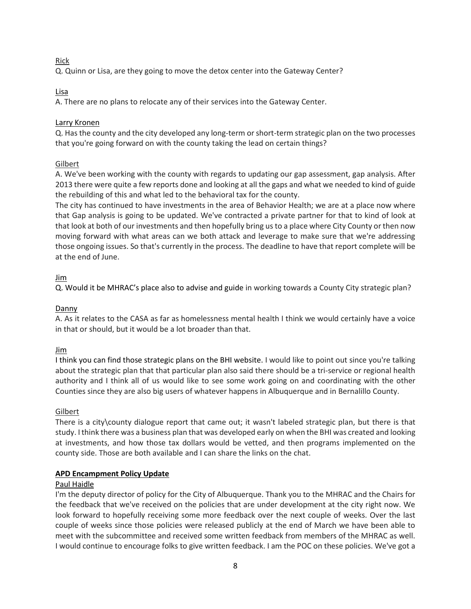# Rick

Q. Quinn or Lisa, are they going to move the detox center into the Gateway Center?

# Lisa

A. There are no plans to relocate any of their services into the Gateway Center.

# Larry Kronen

Q. Has the county and the city developed any long-term or short-term strategic plan on the two processes that you're going forward on with the county taking the lead on certain things?

# Gilbert

A. We've been working with the county with regards to updating our gap assessment, gap analysis. After 2013 there were quite a few reports done and looking at all the gaps and what we needed to kind of guide the rebuilding of this and what led to the behavioral tax for the county.

The city has continued to have investments in the area of Behavior Health; we are at a place now where that Gap analysis is going to be updated. We've contracted a private partner for that to kind of look at that look at both of our investments and then hopefully bring us to a place where City County or then now moving forward with what areas can we both attack and leverage to make sure that we're addressing those ongoing issues. So that's currently in the process. The deadline to have that report complete will be at the end of June.

# Jim

Q. Would it be MHRAC's place also to advise and guide in working towards a County City strategic plan?

# Danny

A. As it relates to the CASA as far as homelessness mental health I think we would certainly have a voice in that or should, but it would be a lot broader than that.

### Jim

I think you can find those strategic plans on the BHI website. I would like to point out since you're talking about the strategic plan that that particular plan also said there should be a tri-service or regional health authority and I think all of us would like to see some work going on and coordinating with the other Counties since they are also big users of whatever happens in Albuquerque and in Bernalillo County.

### Gilbert

There is a city\county dialogue report that came out; it wasn't labeled strategic plan, but there is that study. I think there was a business plan that was developed early on when the BHI was created and looking at investments, and how those tax dollars would be vetted, and then programs implemented on the county side. Those are both available and I can share the links on the chat.

### **APD Encampment Policy Update**

### Paul Haidle

I'm the deputy director of policy for the City of Albuquerque. Thank you to the MHRAC and the Chairs for the feedback that we've received on the policies that are under development at the city right now. We look forward to hopefully receiving some more feedback over the next couple of weeks. Over the last couple of weeks since those policies were released publicly at the end of March we have been able to meet with the subcommittee and received some written feedback from members of the MHRAC as well. I would continue to encourage folks to give written feedback. I am the POC on these policies. We've got a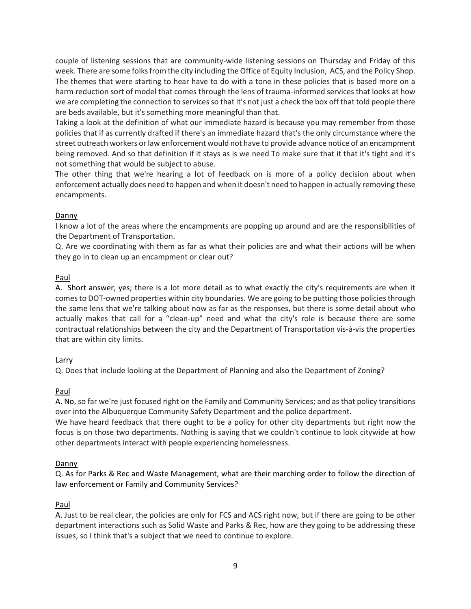couple of listening sessions that are community-wide listening sessions on Thursday and Friday of this week. There are some folks from the city including the Office of Equity Inclusion, ACS, and the Policy Shop. The themes that were starting to hear have to do with a tone in these policies that is based more on a harm reduction sort of model that comes through the lens of trauma-informed services that looks at how we are completing the connection to services so that it's not just a check the box off that told people there are beds available, but it's something more meaningful than that.

Taking a look at the definition of what our immediate hazard is because you may remember from those policies that if as currently drafted if there's an immediate hazard that's the only circumstance where the street outreach workers or law enforcement would not have to provide advance notice of an encampment being removed. And so that definition if it stays as is we need To make sure that it that it's tight and it's not something that would be subject to abuse.

The other thing that we're hearing a lot of feedback on is more of a policy decision about when enforcement actually does need to happen and when it doesn't need to happen in actually removing these encampments.

# Danny

I know a lot of the areas where the encampments are popping up around and are the responsibilities of the Department of Transportation.

Q. Are we coordinating with them as far as what their policies are and what their actions will be when they go in to clean up an encampment or clear out?

# Paul

A. Short answer, yes; there is a lot more detail as to what exactly the city's requirements are when it comes to DOT-owned properties within city boundaries. We are going to be putting those policies through the same lens that we're talking about now as far as the responses, but there is some detail about who actually makes that call for a "clean-up" need and what the city's role is because there are some contractual relationships between the city and the Department of Transportation vis-à-vis the properties that are within city limits.

# Larry

Q. Does that include looking at the Department of Planning and also the Department of Zoning?

### Paul

A. No, so far we're just focused right on the Family and Community Services; and as that policy transitions over into the Albuquerque Community Safety Department and the police department.

We have heard feedback that there ought to be a policy for other city departments but right now the focus is on those two departments. Nothing is saying that we couldn't continue to look citywide at how other departments interact with people experiencing homelessness.

# Danny

Q. As for Parks & Rec and Waste Management, what are their marching order to follow the direction of law enforcement or Family and Community Services?

### Paul

A. Just to be real clear, the policies are only for FCS and ACS right now, but if there are going to be other department interactions such as Solid Waste and Parks & Rec, how are they going to be addressing these issues, so I think that's a subject that we need to continue to explore.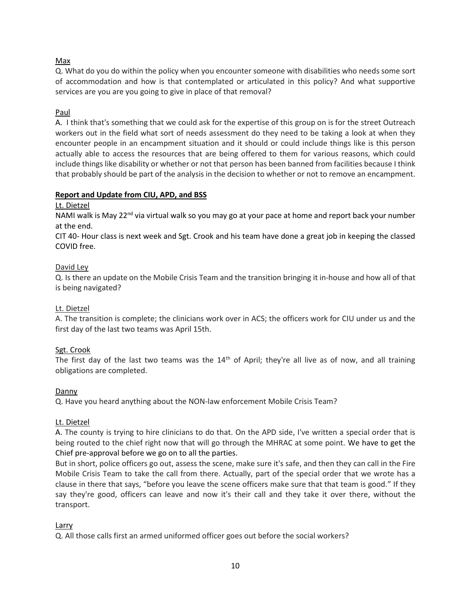# Max

Q. What do you do within the policy when you encounter someone with disabilities who needs some sort of accommodation and how is that contemplated or articulated in this policy? And what supportive services are you are you going to give in place of that removal?

# Paul

A. I think that's something that we could ask for the expertise of this group on is for the street Outreach workers out in the field what sort of needs assessment do they need to be taking a look at when they encounter people in an encampment situation and it should or could include things like is this person actually able to access the resources that are being offered to them for various reasons, which could include things like disability or whether or not that person has been banned from facilities because I think that probably should be part of the analysis in the decision to whether or not to remove an encampment.

# **Report and Update from CIU, APD, and BSS**

# Lt. Dietzel

NAMI walk is May 22<sup>nd</sup> via virtual walk so you may go at your pace at home and report back your number at the end.

CIT 40- Hour class is next week and Sgt. Crook and his team have done a great job in keeping the classed COVID free.

# David Ley

Q. Is there an update on the Mobile Crisis Team and the transition bringing it in-house and how all of that is being navigated?

# Lt. Dietzel

A. The transition is complete; the clinicians work over in ACS; the officers work for CIU under us and the first day of the last two teams was April 15th.

### Sgt. Crook

The first day of the last two teams was the  $14<sup>th</sup>$  of April; they're all live as of now, and all training obligations are completed.

### Danny

Q. Have you heard anything about the NON-law enforcement Mobile Crisis Team?

### Lt. Dietzel

A. The county is trying to hire clinicians to do that. On the APD side, I've written a special order that is being routed to the chief right now that will go through the MHRAC at some point. We have to get the Chief pre-approval before we go on to all the parties.

But in short, police officers go out, assess the scene, make sure it's safe, and then they can call in the Fire Mobile Crisis Team to take the call from there. Actually, part of the special order that we wrote has a clause in there that says, "before you leave the scene officers make sure that that team is good." If they say they're good, officers can leave and now it's their call and they take it over there, without the transport.

### Larry

Q. All those calls first an armed uniformed officer goes out before the social workers?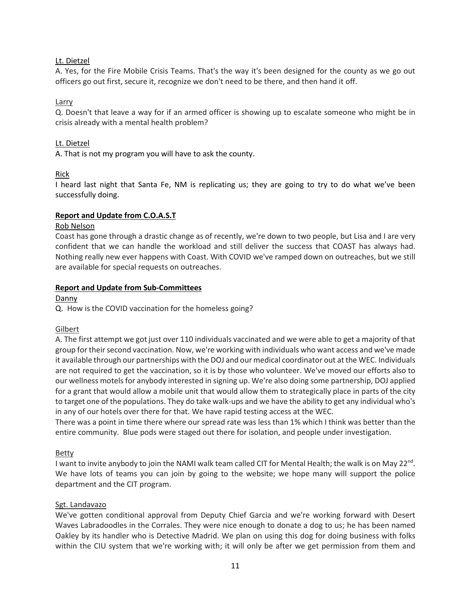# Lt. Dietzel

A. Yes, for the Fire Mobile Crisis Teams. That's the way it's been designed for the county as we go out officers go out first, secure it, recognize we don't need to be there, and then hand it off.

# Larry

Q. Doesn't that leave a way for if an armed officer is showing up to escalate someone who might be in crisis already with a mental health problem?

# Lt. Dietzel

A. That is not my program you will have to ask the county.

# Rick

I heard last night that Santa Fe, NM is replicating us; they are going to try to do what we've been successfully doing.

# **Report and Update from C.O.A.S.T**

### Rob Nelson

Coast has gone through a drastic change as of recently, we're down to two people, but Lisa and I are very confident that we can handle the workload and still deliver the success that COAST has always had. Nothing really new ever happens with Coast. With COVID we've ramped down on outreaches, but we still are available for special requests on outreaches.

# **Report and Update from Sub-Committees**

Danny

Q. How is the COVID vaccination for the homeless going?

# Gilbert

A. The first attempt we got just over 110 individuals vaccinated and we were able to get a majority of that group for their second vaccination. Now, we're working with individuals who want access and we've made it available through our partnerships with the DOJ and our medical coordinator out at the WEC. Individuals are not required to get the vaccination, so it is by those who volunteer. We've moved our efforts also to our wellness motels for anybody interested in signing up. We're also doing some partnership, DOJ applied for a grant that would allow a mobile unit that would allow them to strategically place in parts of the city to target one of the populations. They do take walk-ups and we have the ability to get any individual who's in any of our hotels over there for that. We have rapid testing access at the WEC.

There was a point in time there where our spread rate was less than 1% which I think was better than the entire community. Blue pods were staged out there for isolation, and people under investigation.

# Betty

I want to invite anybody to join the NAMI walk team called CIT for Mental Health; the walk is on May 22<sup>nd</sup>. We have lots of teams you can join by going to the website; we hope many will support the police department and the CIT program.

### Sgt. Landavazo

We've gotten conditional approval from Deputy Chief Garcia and we're working forward with Desert Waves Labradoodles in the Corrales. They were nice enough to donate a dog to us; he has been named Oakley by its handler who is Detective Madrid. We plan on using this dog for doing business with folks within the CIU system that we're working with; it will only be after we get permission from them and